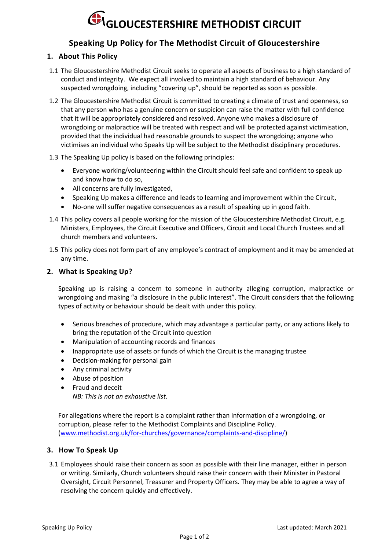# **GLOUCESTERSHIRE METHODIST CIRCUIT**

## **Speaking Up Policy for The Methodist Circuit of Gloucestershire**

### **1. About This Policy**

- 1.1 The Gloucestershire Methodist Circuit seeks to operate all aspects of business to a high standard of conduct and integrity. We expect all involved to maintain a high standard of behaviour. Any suspected wrongdoing, including "covering up", should be reported as soon as possible.
- 1.2 The Gloucestershire Methodist Circuit is committed to creating a climate of trust and openness, so that any person who has a genuine concern or suspicion can raise the matter with full confidence that it will be appropriately considered and resolved. Anyone who makes a disclosure of wrongdoing or malpractice will be treated with respect and will be protected against victimisation, provided that the individual had reasonable grounds to suspect the wrongdoing; anyone who victimises an individual who Speaks Up will be subject to the Methodist disciplinary procedures.
- 1.3 The Speaking Up policy is based on the following principles:
	- Everyone working/volunteering within the Circuit should feel safe and confident to speak up and know how to do so,
	- All concerns are fully investigated,
	- Speaking Up makes a difference and leads to learning and improvement within the Circuit,
	- No-one will suffer negative consequences as a result of speaking up in good faith.
- 1.4 This policy covers all people working for the mission of the Gloucestershire Methodist Circuit, e.g. Ministers, Employees, the Circuit Executive and Officers, Circuit and Local Church Trustees and all church members and volunteers.
- 1.5 This policy does not form part of any employee's contract of employment and it may be amended at any time.

#### **2. What is Speaking Up?**

Speaking up is raising a concern to someone in authority alleging corruption, malpractice or wrongdoing and making "a disclosure in the public interest". The Circuit considers that the following types of activity or behaviour should be dealt with under this policy.

- Serious breaches of procedure, which may advantage a particular party, or any actions likely to bring the reputation of the Circuit into question
- Manipulation of accounting records and finances
- Inappropriate use of assets or funds of which the Circuit is the managing trustee
- Decision-making for personal gain
- Any criminal activity
- Abuse of position
- Fraud and deceit *NB: This is not an exhaustive list.*

For allegations where the report is a complaint rather than information of a wrongdoing, or corruption, please refer to the Methodist Complaints and Discipline Policy. [\(www.methodist.org.uk/for-churches/governance/complaints-and-discipline/\)](http://www.methodist.org.uk/for-churches/governance/complaints-and-discipline/)

#### **3. How To Speak Up**

3.1 Employees should raise their concern as soon as possible with their line manager, either in person or writing. Similarly, Church volunteers should raise their concern with their Minister in Pastoral Oversight, Circuit Personnel, Treasurer and Property Officers. They may be able to agree a way of resolving the concern quickly and effectively.